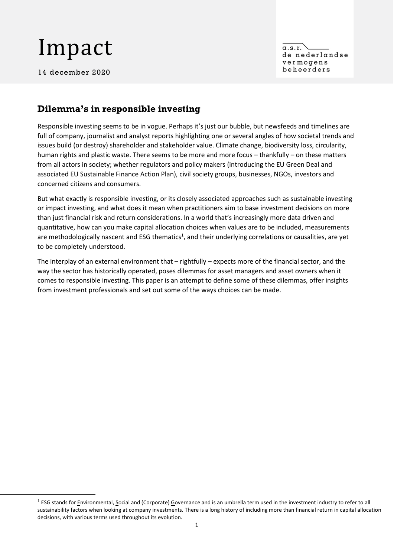14 december 2020

 $\alpha$ .s.r. de nederlandse vermogens beheerders

### **Dilemma's in responsible investing**

Responsible investing seems to be in vogue. Perhaps it's just our bubble, but newsfeeds and timelines are full of company, journalist and analyst reports highlighting one or several angles of how societal trends and issues build (or destroy) shareholder and stakeholder value. Climate change, biodiversity loss, circularity, human rights and plastic waste. There seems to be more and more focus – thankfully – on these matters from all actors in society; whether regulators and policy makers (introducing the EU Green Deal and associated EU Sustainable Finance Action Plan), civil society groups, businesses, NGOs, investors and concerned citizens and consumers.

But what exactly is responsible investing, or its closely associated approaches such as sustainable investing or impact investing, and what does it mean when practitioners aim to base investment decisions on more than just financial risk and return considerations. In a world that's increasingly more data driven and quantitative, how can you make capital allocation choices when values are to be included, measurements are methodologically nascent and ESG thematics<sup>1</sup>, and their underlying correlations or causalities, are yet to be completely understood.

The interplay of an external environment that – rightfully – expects more of the financial sector, and the way the sector has historically operated, poses dilemmas for asset managers and asset owners when it comes to responsible investing. This paper is an attempt to define some of these dilemmas, offer insights from investment professionals and set out some of the ways choices can be made.

<sup>&</sup>lt;sup>1</sup> ESG stands for Environmental, Social and (Corporate) Governance and is an umbrella term used in the investment industry to refer to all sustainability factors when looking at company investments. There is a long history of including more than financial return in capital allocation decisions, with various terms used throughout its evolution.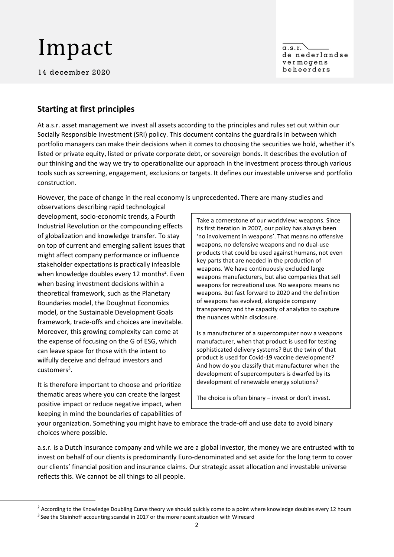14 december 2020

 $\alpha$ .s.r. de nederlandse vermogens beheerders

#### **Starting at first principles**

At a.s.r. asset management we invest all assets according to the principles and rules set out within our Socially Responsible Investment (SRI) policy. This document contains the guardrails in between which portfolio managers can make their decisions when it comes to choosing the securities we hold, whether it's listed or private equity, listed or private corporate debt, or sovereign bonds. It describes the evolution of our thinking and the way we try to operationalize our approach in the investment process through various tools such as screening, engagement, exclusions or targets. It defines our investable universe and portfolio construction.

However, the pace of change in the real economy is unprecedented. There are many studies and

observations describing rapid technological development, socio-economic trends, a Fourth Industrial Revolution or the compounding effects of globalization and knowledge transfer. To stay on top of current and emerging salient issues that might affect company performance or influence stakeholder expectations is practically infeasible when knowledge doubles every 12 months<sup>2</sup>. Even when basing investment decisions within a theoretical framework, such as the Planetary Boundaries model, the Doughnut Economics model, or the Sustainable Development Goals framework, trade-offs and choices are inevitable. Moreover, this growing complexity can come at the expense of focusing on the G of ESG, which can leave space for those with the intent to wilfully deceive and defraud investors and customers<sup>3</sup>.

It is therefore important to choose and prioritize thematic areas where you can create the largest positive impact or reduce negative impact, when keeping in mind the boundaries of capabilities of Take a cornerstone of our worldview: weapons. Since its first iteration in 2007, our policy has always been 'no involvement in weapons'. That means no offensive weapons, no defensive weapons and no dual-use products that could be used against humans, not even key parts that are needed in the production of weapons. We have continuously excluded large weapons manufacturers, but also companies that sell weapons for recreational use. No weapons means no weapons. But fast forward to 2020 and the definition of weapons has evolved, alongside company transparency and the capacity of analytics to capture the nuances within disclosure.

Is a manufacturer of a supercomputer now a weapons manufacturer, when that product is used for testing sophisticated delivery systems? But the twin of that product is used for Covid-19 vaccine development? And how do you classify that manufacturer when the development of supercomputers is dwarfed by its development of renewable energy solutions?

The choice is often binary – invest or don't invest.

your organization. Something you might have to embrace the trade-off and use data to avoid binary choices where possible.

a.s.r. is a Dutch insurance company and while we are a global investor, the money we are entrusted with to invest on behalf of our clients is predominantly Euro-denominated and set aside for the long term to cover our clients' financial position and insurance claims. Our strategic asset allocation and investable universe reflects this. We cannot be all things to all people.

<sup>&</sup>lt;sup>2</sup> According to the Knowledge Doubling Curve theory we should quickly come to a point where knowledge doubles every 12 hours

<sup>&</sup>lt;sup>3</sup> See the Steinhoff accounting scandal in 2017 or the more recent situation with Wirecard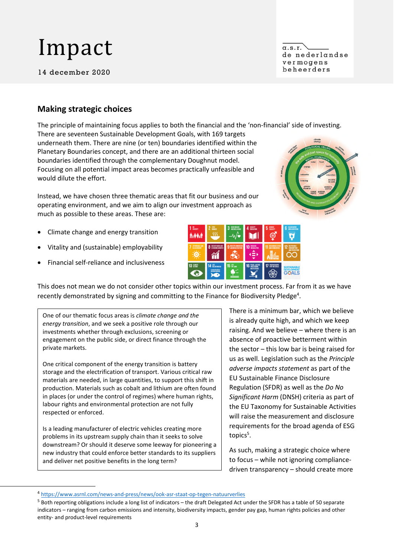14 december 2020

#### $\alpha$ .s.r. de nederlandse vermogens beheerders

#### **Making strategic choices**

The principle of maintaining focus applies to both the financial and the 'non-financial' side of investing.

There are seventeen Sustainable Development Goals, with 169 targets underneath them. There are nine (or ten) boundaries identified within the Planetary Boundaries concept, and there are an additional thirteen social boundaries identified through the complementary Doughnut model. Focusing on all potential impact areas becomes practically unfeasible and would dilute the effort.

Instead, we have chosen three thematic areas that fit our business and our operating environment, and we aim to align our investment approach as much as possible to these areas. These are:

- Climate change and energy transition
- Vitality and (sustainable) employability
- Financial self-reliance and inclusiveness

This does not mean we do not consider other topics within our investment process. Far from it as we have recently demonstrated by signing and committing to the Finance for Biodiversity Pledge<sup>4</sup>.

One of our thematic focus areas is *climate change and the energy transition*, and we seek a positive role through our investments whether through exclusions, screening or engagement on the public side, or direct finance through the private markets.

One critical component of the energy transition is battery storage and the electrification of transport. Various critical raw materials are needed, in large quantities, to support this shift in production. Materials such as cobalt and lithium are often found in places (or under the control of regimes) where human rights, labour rights and environmental protection are not fully respected or enforced.

Is a leading manufacturer of electric vehicles creating more problems in its upstream supply chain than it seeks to solve downstream? Or should it deserve some leeway for pioneering a new industry that could enforce better standards to its suppliers and deliver net positive benefits in the long term?

There is a minimum bar, which we believe is already quite high, and which we keep raising. And we believe – where there is an absence of proactive betterment within the sector – this low bar is being raised for us as well. Legislation such as the *Principle adverse impacts statement* as part of the EU Sustainable Finance Disclosure Regulation (SFDR) as well as the *Do No Significant Harm* (DNSH) criteria as part of the EU Taxonomy for Sustainable Activities will raise the measurement and disclosure requirements for the broad agenda of ESG topics<sup>5</sup>.

As such, making a strategic choice where to focus – while not ignoring compliancedriven transparency – should create more



| $110$ wears<br>麻醉精                   | $2 \frac{7180}{4000000}$ | GOOD HEALTH<br>ű<br>AND WELL-BEING                    | EQUALITY<br>A                              | EDUALITY<br>5<br>≘                          | <b>CLEAN WATER</b><br>6<br>AND SANTAFTE              |
|--------------------------------------|--------------------------|-------------------------------------------------------|--------------------------------------------|---------------------------------------------|------------------------------------------------------|
| <b>ATOGARIAE</b><br><b>GLASSINGS</b> | <b>8 DECENT WORK AND</b> | <b>NEUSTRY ROUNDER</b><br><b>9 MILITARY PROVATION</b> | <b>10 HOUGH</b><br>=>                      | SUSTAINABLE CITIES<br><b>11 ARCOMMUNITY</b> | <b>BIPDISCO</b><br><b>CONSIDERED</b><br>AND PRODUCTS |
| <b>13 PMW</b>                        | 14 HE                    | <b>15 Without</b>                                     | <b>JISTICE</b><br>16<br><b>ASTITUTIONS</b> | 17 PARTNERSHIPS                             | <b>STAINAB</b><br><b>EVELOPME</b><br><b>GOAL</b>     |

<sup>4</sup> <https://www.asrnl.com/news-and-press/news/ook-asr-staat-op-tegen-natuurverlies>

<sup>5</sup> Both reporting obligations include a long list of indicators – the draft Delegated Act under the SFDR has a table of 50 separate indicators – ranging from carbon emissions and intensity, biodiversity impacts, gender pay gap, human rights policies and other entity- and product-level requirements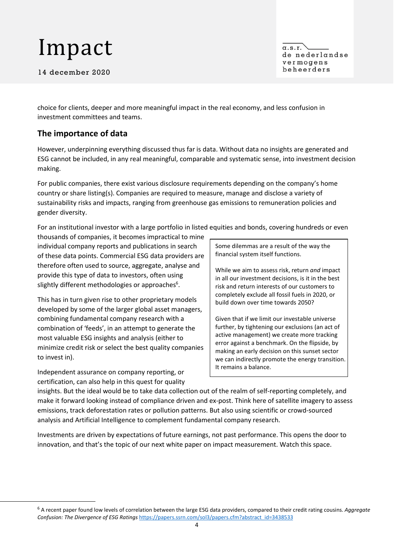14 december 2020

 $\alpha$ .s.r. de nederlandse vermogens beheerders

choice for clients, deeper and more meaningful impact in the real economy, and less confusion in investment committees and teams.

#### **The importance of data**

However, underpinning everything discussed thus far is data. Without data no insights are generated and ESG cannot be included, in any real meaningful, comparable and systematic sense, into investment decision making.

For public companies, there exist various disclosure requirements depending on the company's home country or share listing(s). Companies are required to measure, manage and disclose a variety of sustainability risks and impacts, ranging from greenhouse gas emissions to remuneration policies and gender diversity.

For an institutional investor with a large portfolio in listed equities and bonds, covering hundreds or even

thousands of companies, it becomes impractical to mine individual company reports and publications in search of these data points. Commercial ESG data providers are therefore often used to source, aggregate, analyse and provide this type of data to investors, often using slightly different methodologies or approaches<sup>6</sup>.

This has in turn given rise to other proprietary models developed by some of the larger global asset managers, combining fundamental company research with a combination of 'feeds', in an attempt to generate the most valuable ESG insights and analysis (either to minimize credit risk or select the best quality companies to invest in).

Independent assurance on company reporting, or certification, can also help in this quest for quality Some dilemmas are a result of the way the financial system itself functions.

While we aim to assess risk, return *and* impact in all our investment decisions, is it in the best risk and return interests of our customers to completely exclude all fossil fuels in 2020, or build down over time towards 2050?

Given that if we limit our investable universe further, by tightening our exclusions (an act of active management) we create more tracking error against a benchmark. On the flipside, by making an early decision on this sunset sector we can indirectly promote the energy transition. It remains a balance.

insights. But the ideal would be to take data collection out of the realm of self-reporting completely, and make it forward looking instead of compliance driven and ex-post. Think here of satellite imagery to assess emissions, track deforestation rates or pollution patterns. But also using scientific or crowd-sourced analysis and Artificial Intelligence to complement fundamental company research.

Investments are driven by expectations of future earnings, not past performance. This opens the door to innovation, and that's the topic of our next white paper on impact measurement. Watch this space.

<sup>6</sup> A recent paper found low levels of correlation between the large ESG data providers, compared to their credit rating cousins. *Aggregate Confusion: The Divergence of ESG Ratings* [https://papers.ssrn.com/sol3/papers.cfm?abstract\\_id=3438533](https://papers.ssrn.com/sol3/papers.cfm?abstract_id=3438533)